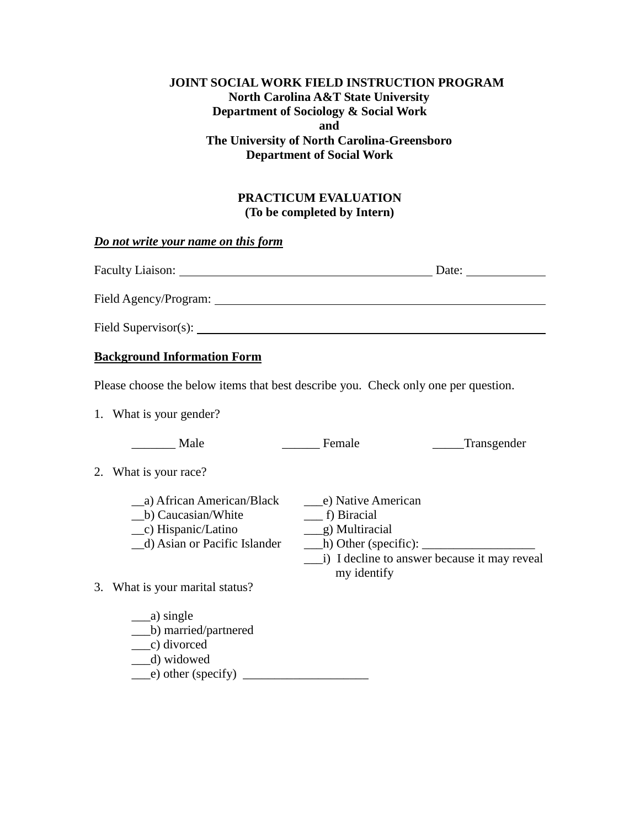## **JOINT SOCIAL WORK FIELD INSTRUCTION PROGRAM North Carolina A&T State University Department of Sociology & Social Work and The University of North Carolina-Greensboro Department of Social Work**

## **PRACTICUM EVALUATION (To be completed by Intern)**

#### *Do not write your name on this form*

| <b>Faculty Liaison:</b> | Date: |
|-------------------------|-------|
| Field Agency/Program:   |       |
| Field Supervisor(s):    |       |

### **Background Information Form**

Please choose the below items that best describe you. Check only one per question.

1. What is your gender?

| Male                                                                                                        | Female                                                                                                   | Transgender                                  |
|-------------------------------------------------------------------------------------------------------------|----------------------------------------------------------------------------------------------------------|----------------------------------------------|
| 2. What is your race?                                                                                       |                                                                                                          |                                              |
| a) African American/Black<br>b) Caucasian/White<br>$\_\_c)$ Hispanic/Latino<br>d) Asian or Pacific Islander | e) Native American<br>f) Biracial<br>g) Multiracial<br>$\Box$ h) Other (specific): $\Box$<br>my identify | i) I decline to answer because it may reveal |

3. What is your marital status?

\_\_\_a) single \_\_\_b) married/partnered \_\_\_c) divorced \_\_\_d) widowed  $(e)$  other (specify)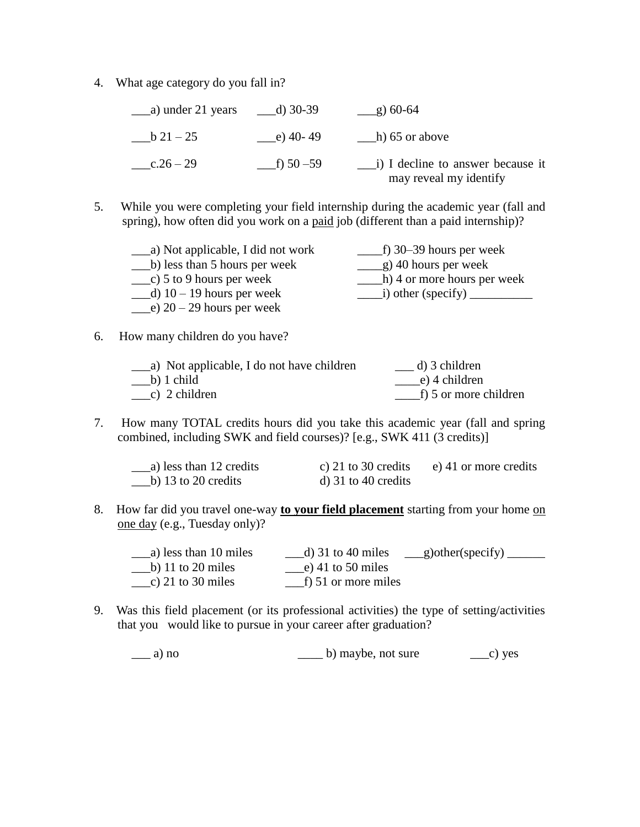4. What age category do you fall in?

|            | d) 30-39    | $\frac{9}{2}$ 60-64                                                       |
|------------|-------------|---------------------------------------------------------------------------|
| $b\ 21-25$ | $-e)$ 40-49 | $\Box$ h) 65 or above                                                     |
| $-c.26-29$ |             | $\frac{1}{2}$ i) I decline to answer because it<br>may reveal my identify |

5. While you were completing your field internship during the academic year (fall and spring), how often did you work on a paid job (different than a paid internship)?

| a) Not applicable, I did not work | f) $30-39$ hours per week   |
|-----------------------------------|-----------------------------|
| b) less than 5 hours per week     | g) 40 hours per week        |
| c) 5 to 9 hours per week          | h) 4 or more hours per week |
| $-d$ ) 10 – 19 hours per week     |                             |
| e) $20 - 29$ hours per week       |                             |

6. How many children do you have?

| a) Not applicable, I do not have children | d) 3 children         |
|-------------------------------------------|-----------------------|
| $\_\_b)$ 1 child                          | e) 4 children         |
| $\_\_c)$ 2 children                       | f) 5 or more children |

7. How many TOTAL credits hours did you take this academic year (fall and spring combined, including SWK and field courses)? [e.g., SWK 411 (3 credits)]

| a) less than 12 credits | c) 21 to 30 credits | e) 41 or more credits |
|-------------------------|---------------------|-----------------------|
| b) 13 to 20 credits     | d) 31 to 40 credits |                       |

8. How far did you travel one-way **to your field placement** starting from your home on one day (e.g., Tuesday only)?

| a) less than 10 miles | d) 31 to 40 miles        | $\_\$ {g})other(specify) |
|-----------------------|--------------------------|--------------------------|
| b) 11 to 20 miles     | $\_\_e$ ) 41 to 50 miles |                          |
| c) 21 to 30 miles     | f) 51 or more miles      |                          |

9. Was this field placement (or its professional activities) the type of setting/activities that you would like to pursue in your career after graduation?

\_\_\_ a) no \_\_\_\_ b) maybe, not sure \_\_\_c) yes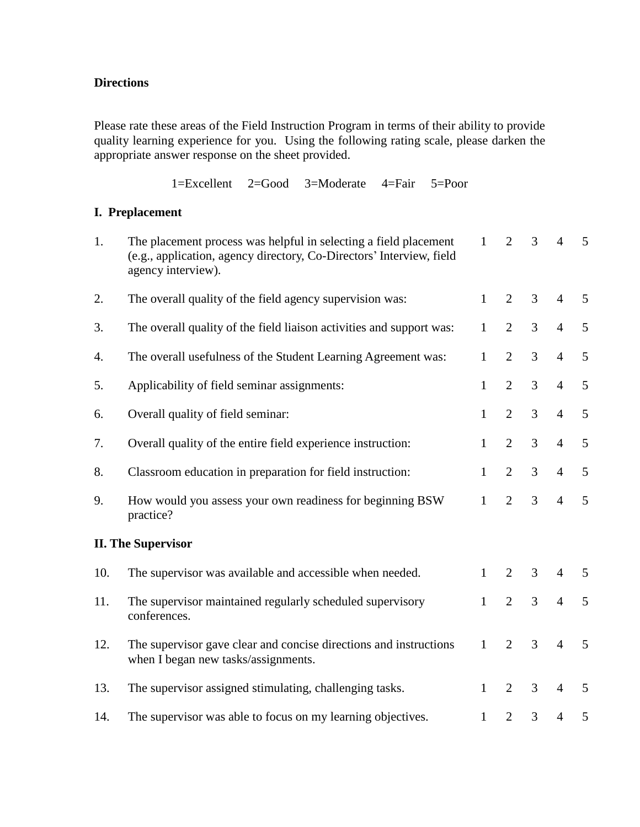## **Directions**

Please rate these areas of the Field Instruction Program in terms of their ability to provide quality learning experience for you. Using the following rating scale, please darken the appropriate answer response on the sheet provided.

1=Excellent 2=Good 3=Moderate 4=Fair 5=Poor

# **I. Preplacement**

| 1.  | The placement process was helpful in selecting a field placement<br>(e.g., application, agency directory, Co-Directors' Interview, field<br>agency interview). | $\mathbf{1}$ | $\overline{2}$ | 3 | $\overline{4}$ | 5              |
|-----|----------------------------------------------------------------------------------------------------------------------------------------------------------------|--------------|----------------|---|----------------|----------------|
| 2.  | The overall quality of the field agency supervision was:                                                                                                       | $\mathbf{1}$ | $\overline{2}$ | 3 | $\overline{4}$ | 5              |
| 3.  | The overall quality of the field liaison activities and support was:                                                                                           | $\mathbf{1}$ | $\overline{2}$ | 3 | $\overline{4}$ | 5              |
| 4.  | The overall usefulness of the Student Learning Agreement was:                                                                                                  | $\mathbf{1}$ | $\overline{2}$ | 3 | $\overline{4}$ | 5              |
| 5.  | Applicability of field seminar assignments:                                                                                                                    | 1            | $\overline{2}$ | 3 | $\overline{4}$ | 5              |
| 6.  | Overall quality of field seminar:                                                                                                                              | $\mathbf{1}$ | $\overline{2}$ | 3 | $\overline{4}$ | 5              |
| 7.  | Overall quality of the entire field experience instruction:                                                                                                    | $\mathbf{1}$ | $\overline{2}$ | 3 | $\overline{4}$ | 5              |
| 8.  | Classroom education in preparation for field instruction:                                                                                                      | $\mathbf{1}$ | $\overline{2}$ | 3 | $\overline{4}$ | $\mathfrak{S}$ |
| 9.  | How would you assess your own readiness for beginning BSW<br>practice?                                                                                         | $\mathbf{1}$ | $\overline{2}$ | 3 | $\overline{4}$ | 5              |
|     | <b>II. The Supervisor</b>                                                                                                                                      |              |                |   |                |                |
| 10. | The supervisor was available and accessible when needed.                                                                                                       | $\mathbf{1}$ | $\overline{2}$ | 3 | $\overline{4}$ | 5              |
| 11. | The supervisor maintained regularly scheduled supervisory<br>conferences.                                                                                      | $\mathbf{1}$ | $\overline{2}$ | 3 | $\overline{4}$ | 5              |
| 12. | The supervisor gave clear and concise directions and instructions<br>when I began new tasks/assignments.                                                       | $\mathbf{1}$ | $\overline{2}$ | 3 | $\overline{4}$ | 5              |
| 13. | The supervisor assigned stimulating, challenging tasks.                                                                                                        | $\mathbf{1}$ | $\overline{2}$ | 3 | $\overline{4}$ | 5              |
| 14. | The supervisor was able to focus on my learning objectives.                                                                                                    | $\mathbf{1}$ | $\overline{2}$ | 3 | $\overline{4}$ | 5              |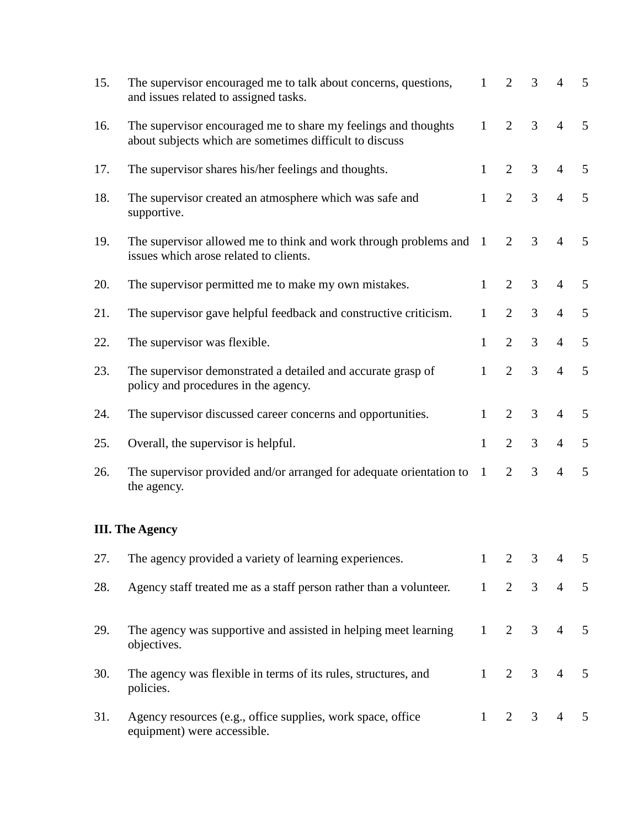| 15. | The supervisor encouraged me to talk about concerns, questions,<br>and issues related to assigned tasks.                  | $\mathbf{1}$ | $\overline{2}$ | 3              | $\overline{4}$ | 5              |
|-----|---------------------------------------------------------------------------------------------------------------------------|--------------|----------------|----------------|----------------|----------------|
| 16. | The supervisor encouraged me to share my feelings and thoughts<br>about subjects which are sometimes difficult to discuss | $\mathbf{1}$ | $\overline{2}$ | 3              | $\overline{4}$ | 5              |
| 17. | The supervisor shares his/her feelings and thoughts.                                                                      | $\mathbf{1}$ | $\overline{2}$ | 3              | $\overline{4}$ | 5              |
| 18. | The supervisor created an atmosphere which was safe and<br>supportive.                                                    | $\mathbf{1}$ | $\overline{2}$ | $\overline{3}$ | $\overline{4}$ | 5              |
| 19. | The supervisor allowed me to think and work through problems and<br>issues which arose related to clients.                | $\mathbf{1}$ | $\overline{2}$ | 3              | $\overline{4}$ | 5              |
| 20. | The supervisor permitted me to make my own mistakes.                                                                      | $\mathbf{1}$ | $\overline{2}$ | 3              | $\overline{4}$ | $\mathfrak{S}$ |
| 21. | The supervisor gave helpful feedback and constructive criticism.                                                          | $\mathbf{1}$ | $\overline{2}$ | 3              | $\overline{4}$ | 5              |
| 22. | The supervisor was flexible.                                                                                              | $\mathbf{1}$ | $\overline{2}$ | 3              | $\overline{4}$ | 5              |
| 23. | The supervisor demonstrated a detailed and accurate grasp of<br>policy and procedures in the agency.                      | $\mathbf{1}$ | $\overline{2}$ | 3              | $\overline{4}$ | $\mathfrak{S}$ |
| 24. | The supervisor discussed career concerns and opportunities.                                                               | $\mathbf{1}$ | $\overline{2}$ | 3              | $\overline{4}$ | 5              |
| 25. | Overall, the supervisor is helpful.                                                                                       | $\mathbf{1}$ | $\overline{2}$ | 3              | $\overline{4}$ | 5              |
| 26. | The supervisor provided and/or arranged for adequate orientation to<br>the agency.                                        | $\mathbf{1}$ | $\overline{2}$ | 3              | $\overline{4}$ | $\mathfrak{S}$ |
|     | <b>III. The Agency</b>                                                                                                    |              |                |                |                |                |
| 27. | The agency provided a variety of learning experiences.                                                                    | $1 -$        | 2              | 3              | $\overline{4}$ | 5              |
| 28. | Agency staff treated me as a staff person rather than a volunteer.                                                        | 1            | $\overline{2}$ | 3 <sup>7</sup> | $\overline{4}$ | $\mathfrak{S}$ |
| 29. | The agency was supportive and assisted in helping meet learning<br>objectives.                                            | $\mathbf{1}$ | $\overline{2}$ | $\mathfrak{Z}$ | $\overline{4}$ | 5              |
| 30. | The agency was flexible in terms of its rules, structures, and<br>policies.                                               | 1            | $\overline{2}$ | 3              | $\overline{4}$ | 5              |
| 31. | Agency resources (e.g., office supplies, work space, office<br>equipment) were accessible.                                | $\mathbf{1}$ | 2              | 3              | $\overline{4}$ | 5              |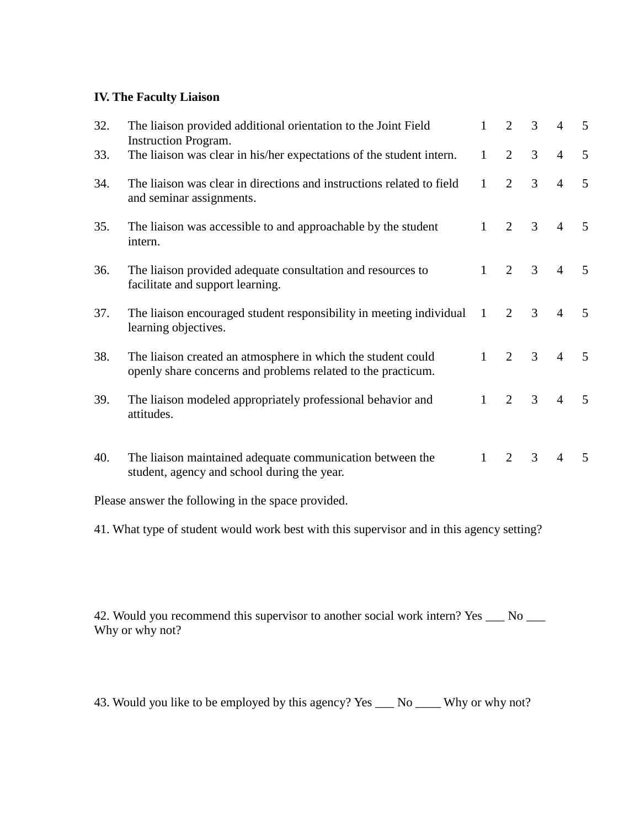## **IV. The Faculty Liaison**

| 32. | The liaison provided additional orientation to the Joint Field<br><b>Instruction Program.</b>                                | 1            | $\overline{2}$ | 3 | $\overline{4}$ | 5 |
|-----|------------------------------------------------------------------------------------------------------------------------------|--------------|----------------|---|----------------|---|
| 33. | The liaison was clear in his/her expectations of the student intern.                                                         | $\mathbf{1}$ | 2              | 3 | $\overline{4}$ | 5 |
| 34. | The liaison was clear in directions and instructions related to field<br>and seminar assignments.                            | $\mathbf{1}$ | $\overline{2}$ | 3 | $\overline{4}$ | 5 |
| 35. | The liaison was accessible to and approachable by the student<br>intern.                                                     | $\mathbf{1}$ | $\overline{2}$ | 3 | $\overline{4}$ | 5 |
| 36. | The liaison provided adequate consultation and resources to<br>facilitate and support learning.                              | $\mathbf{1}$ | $\overline{2}$ | 3 | $\overline{4}$ | 5 |
| 37. | The liaison encouraged student responsibility in meeting individual<br>learning objectives.                                  | $\mathbf{1}$ | $\overline{2}$ | 3 | $\overline{4}$ | 5 |
| 38. | The liaison created an atmosphere in which the student could<br>openly share concerns and problems related to the practicum. | $\mathbf{1}$ | 2              | 3 | $\overline{4}$ | 5 |
| 39. | The liaison modeled appropriately professional behavior and<br>attitudes.                                                    | 1            | $\overline{2}$ | 3 | $\overline{4}$ | 5 |
| 40. | The liaison maintained adequate communication between the<br>student, agency and school during the year.                     | $\mathbf{1}$ | $\overline{2}$ | 3 | $\overline{4}$ | 5 |

Please answer the following in the space provided.

41. What type of student would work best with this supervisor and in this agency setting?

42. Would you recommend this supervisor to another social work intern? Yes \_\_\_ No \_\_\_ Why or why not?

43. Would you like to be employed by this agency? Yes \_\_\_ No \_\_\_ Why or why not?